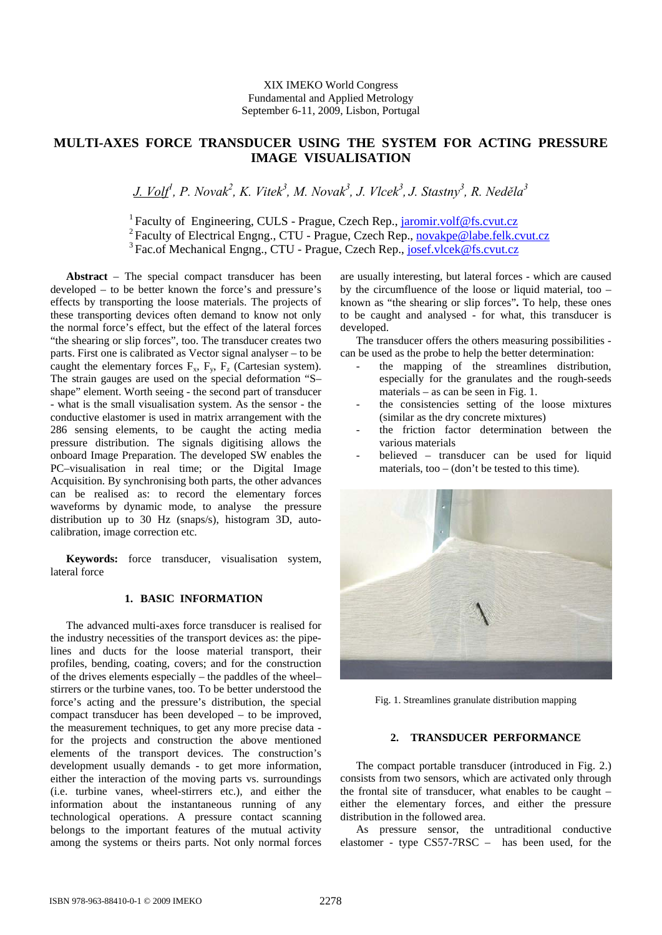# **MULTI-AXES FORCE TRANSDUCER USING THE SYSTEM FOR ACTING PRESSURE IMAGE VISUALISATION**

*J. Volf1 , P. Novak<sup>2</sup> , K. Vitek3 , M. Novak<sup>3</sup> , J. Vlcek3 , J. Stastny<sup>3</sup> , R. Neděla3*

<sup>1</sup> Faculty of Engineering, CULS - Prague, Czech Rep., [jaromir.volf@fs.cvut.cz](mailto:jaromir.volf@fs.cvut.cz) <sup>2</sup> Faculty of Electrical Engng., CTU - Prague, Czech Rep., [novakpe@labe.felk.cvut.cz](mailto:novakpe@labe.felk.cvut.cz)

<sup>3</sup> Fac.of Mechanical Engng., CTU - Prague, Czech Rep., josef.vlcek@fs.cvut.cz

**Abstract** – The special compact transducer has been developed – to be better known the force's and pressure's effects by transporting the loose materials. The projects of these transporting devices often demand to know not only the normal force's effect, but the effect of the lateral forces "the shearing or slip forces", too. The transducer creates two parts. First one is calibrated as Vector signal analyser – to be caught the elementary forces  $F_x$ ,  $F_y$ ,  $F_z$  (Cartesian system). The strain gauges are used on the special deformation "S– shape" element. Worth seeing - the second part of transducer - what is the small visualisation system. As the sensor - the conductive elastomer is used in matrix arrangement with the 286 sensing elements, to be caught the acting media pressure distribution. The signals digitising allows the onboard Image Preparation. The developed SW enables the PC–visualisation in real time; or the Digital Image Acquisition. By synchronising both parts, the other advances can be realised as: to record the elementary forces waveforms by dynamic mode, to analyse the pressure distribution up to 30 Hz (snaps/s), histogram 3D, autocalibration, image correction etc.

**Keywords:** force transducer, visualisation system, lateral force

# **1. BASIC INFORMATION**

The advanced multi-axes force transducer is realised for the industry necessities of the transport devices as: the pipelines and ducts for the loose material transport, their profiles, bending, coating, covers; and for the construction of the drives elements especially – the paddles of the wheel– stirrers or the turbine vanes, too. To be better understood the force's acting and the pressure's distribution, the special compact transducer has been developed – to be improved, the measurement techniques, to get any more precise data for the projects and construction the above mentioned elements of the transport devices. The construction's development usually demands - to get more information, either the interaction of the moving parts vs. surroundings (i.e. turbine vanes, wheel-stirrers etc.), and either the information about the instantaneous running of any technological operations. A pressure contact scanning belongs to the important features of the mutual activity among the systems or theirs parts. Not only normal forces

are usually interesting, but lateral forces - which are caused by the circumfluence of the loose or liquid material, too  $$ known as "the shearing or slip forces"**.** To help, these ones to be caught and analysed - for what, this transducer is developed.

The transducer offers the others measuring possibilities can be used as the probe to help the better determination:

- the mapping of the streamlines distribution, especially for the granulates and the rough-seeds materials – as can be seen in Fig. 1.
- the consistencies setting of the loose mixtures (similar as the dry concrete mixtures)
- the friction factor determination between the various materials
- believed transducer can be used for liquid materials, too – (don't be tested to this time).



Fig. 1. Streamlines granulate distribution mapping

## **2. TRANSDUCER PERFORMANCE**

The compact portable transducer (introduced in Fig. 2.) consists from two sensors, which are activated only through the frontal site of transducer, what enables to be caught – either the elementary forces, and either the pressure distribution in the followed area.

As pressure sensor, the untraditional conductive elastomer - type CS57-7RSC – has been used, for the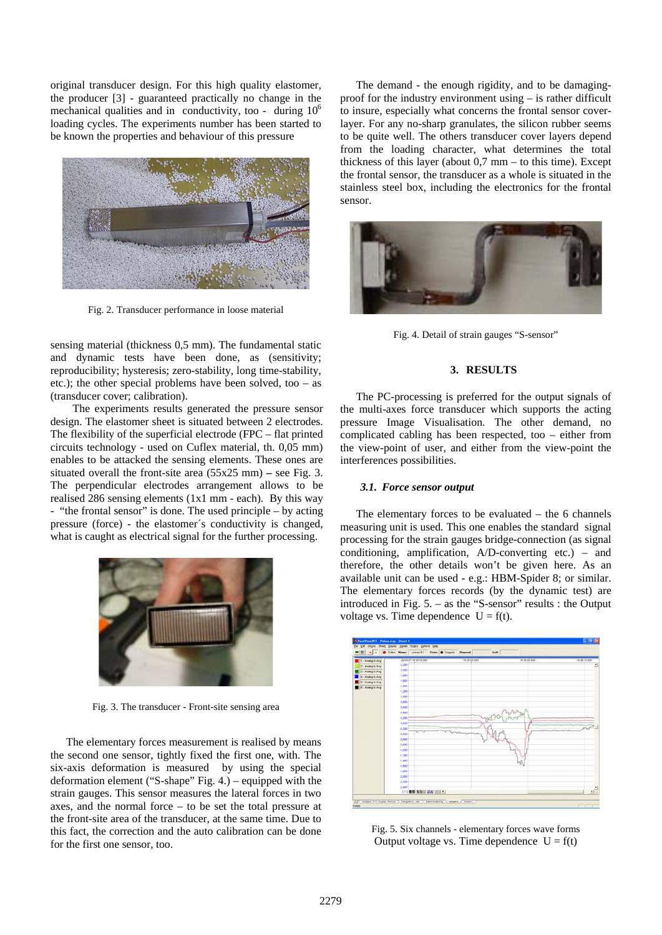original transducer design. For this high quality elastomer, the producer [3] - guaranteed practically no change in the mechanical qualities and in conductivity, too - during  $10<sup>6</sup>$ loading cycles. The experiments number has been started to be known the properties and behaviour of this pressure



Fig. 2. Transducer performance in loose material

sensing material (thickness 0,5 mm). The fundamental static and dynamic tests have been done, as (sensitivity; reproducibility; hysteresis; zero-stability, long time-stability, etc.); the other special problems have been solved, too – as (transducer cover; calibration).

The experiments results generated the pressure sensor design. The elastomer sheet is situated between 2 electrodes. The flexibility of the superficial electrode (FPC – flat printed circuits technology - used on Cuflex material, th. 0,05 mm) enables to be attacked the sensing elements. These ones are situated overall the front-site area (55x25 mm) **–** see Fig. 3. The perpendicular electrodes arrangement allows to be realised 286 sensing elements (1x1 mm - each). By this way - "the frontal sensor" is done. The used principle – by acting pressure (force) - the elastomer´s conductivity is changed, what is caught as electrical signal for the further processing.



Fig. 3. The transducer - Front-site sensing area

The elementary forces measurement is realised by means the second one sensor, tightly fixed the first one, with. The six-axis deformation is measured by using the special deformation element ("S-shape" Fig. 4.) – equipped with the strain gauges. This sensor measures the lateral forces in two axes, and the normal force – to be set the total pressure at the front-site area of the transducer, at the same time. Due to this fact, the correction and the auto calibration can be done for the first one sensor, too.

The demand - the enough rigidity, and to be damagingproof for the industry environment using – is rather difficult to insure, especially what concerns the frontal sensor coverlayer. For any no-sharp granulates, the silicon rubber seems to be quite well. The others transducer cover layers depend from the loading character, what determines the total thickness of this layer (about  $0.7 \text{ mm}$  – to this time). Except the frontal sensor, the transducer as a whole is situated in the stainless steel box, including the electronics for the frontal sensor.



Fig. 4. Detail of strain gauges "S-sensor"

# **3. RESULTS**

The PC-processing is preferred for the output signals of the multi-axes force transducer which supports the acting pressure Image Visualisation. The other demand, no complicated cabling has been respected, too – either from the view-point of user, and either from the view-point the interferences possibilities.

#### *3.1. Force sensor output*

The elementary forces to be evaluated  $-$  the 6 channels measuring unit is used. This one enables the standard signal processing for the strain gauges bridge-connection (as signal conditioning, amplification, A/D-converting etc.) – and therefore, the other details won't be given here. As an available unit can be used - e.g.: HBM-Spider 8; or similar. The elementary forces records (by the dynamic test) are introduced in Fig. 5. – as the "S-sensor" results : the Output voltage vs. Time dependence  $U = f(t)$ .



Fig. 5. Six channels - elementary forces wave forms Output voltage vs. Time dependence  $U = f(t)$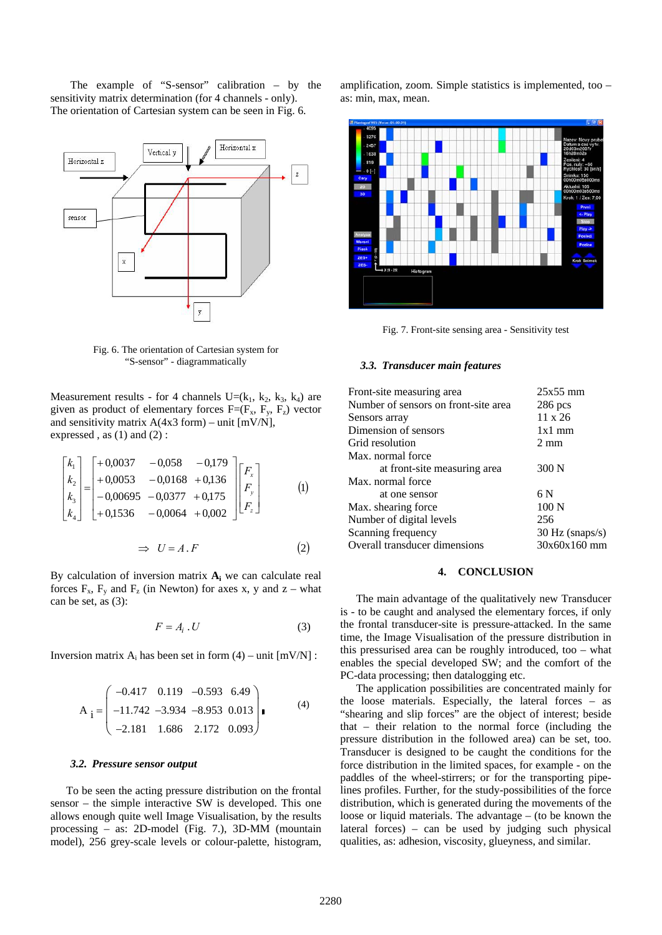The example of "S-sensor" calibration – by the sensitivity matrix determination (for 4 channels - only). The orientation of Cartesian system can be seen in Fig. 6.



Fig. 6. The orientation of Cartesian system for "S-sensor" - diagrammatically

Measurement results - for 4 channels  $U=(k_1, k_2, k_3, k_4)$  are given as product of elementary forces  $F=(F_x, F_y, F_z)$  vector and sensitivity matrix A(4x3 form) – unit [mV/N], expressed, as  $(1)$  and  $(2)$ :

$$
\begin{bmatrix} k_1 \\ k_2 \\ k_3 \\ k_4 \end{bmatrix} = \begin{bmatrix} +0.0037 & -0.058 & -0.179 \\ +0.0053 & -0.0168 & +0.136 \\ -0.00695 & -0.0377 & +0.175 \\ +0.1536 & -0.0064 & +0.002 \end{bmatrix} \begin{bmatrix} F_x \\ F_y \\ F_z \end{bmatrix}
$$
 (1)

$$
\Rightarrow U = A \cdot F \tag{2}
$$

By calculation of inversion matrix  $A_i$  we can calculate real forces  $F_x$ ,  $F_y$  and  $F_z$  (in Newton) for axes x, y and z – what can be set, as (3):

$$
F = A_i \cdot U \tag{3}
$$

Inversion matrix  $A_i$  has been set in form (4) – unit  $[mV/N]$ :

$$
A_{i} = \begin{pmatrix} -0.417 & 0.119 & -0.593 & 6.49 \\ -11.742 & -3.934 & -8.953 & 0.013 \\ -2.181 & 1.686 & 2.172 & 0.093 \end{pmatrix} .
$$
 (4)

#### *3.2. Pressure sensor output*

To be seen the acting pressure distribution on the frontal sensor – the simple interactive SW is developed. This one allows enough quite well Image Visualisation, by the results processing – as: 2D-model (Fig. 7.), 3D-MM (mountain model), 256 grey-scale levels or colour-palette, histogram, amplification, zoom. Simple statistics is implemented, too – as: min, max, mean.



Fig. 7. Front-site sensing area - Sensitivity test

#### *3.3. Transducer main features*

| Front-site measuring area            | $25x55$ mm        |
|--------------------------------------|-------------------|
| Number of sensors on front-site area | $286$ pcs         |
| Sensors array                        | $11 \times 26$    |
| Dimension of sensors                 | $1x1$ mm          |
| Grid resolution                      | $2 \text{ mm}$    |
| Max. normal force                    |                   |
| at front-site measuring area         | 300 N             |
| Max. normal force                    |                   |
| at one sensor                        | 6 N               |
| Max. shearing force                  | 100 N             |
| Number of digital levels             | 256               |
| Scanning frequency                   | $30$ Hz (snaps/s) |
| Overall transducer dimensions        | $30x60x160$ mm    |
|                                      |                   |

#### **4. CONCLUSION**

The main advantage of the qualitatively new Transducer is - to be caught and analysed the elementary forces, if only the frontal transducer-site is pressure-attacked. In the same time, the Image Visualisation of the pressure distribution in this pressurised area can be roughly introduced, too – what enables the special developed SW; and the comfort of the PC-data processing; then datalogging etc.

The application possibilities are concentrated mainly for the loose materials. Especially, the lateral forces – as "shearing and slip forces" are the object of interest; beside that – their relation to the normal force (including the pressure distribution in the followed area) can be set, too. Transducer is designed to be caught the conditions for the force distribution in the limited spaces, for example - on the paddles of the wheel-stirrers; or for the transporting pipelines profiles. Further, for the study-possibilities of the force distribution, which is generated during the movements of the loose or liquid materials. The advantage – (to be known the lateral forces) – can be used by judging such physical qualities, as: adhesion, viscosity, glueyness, and similar.